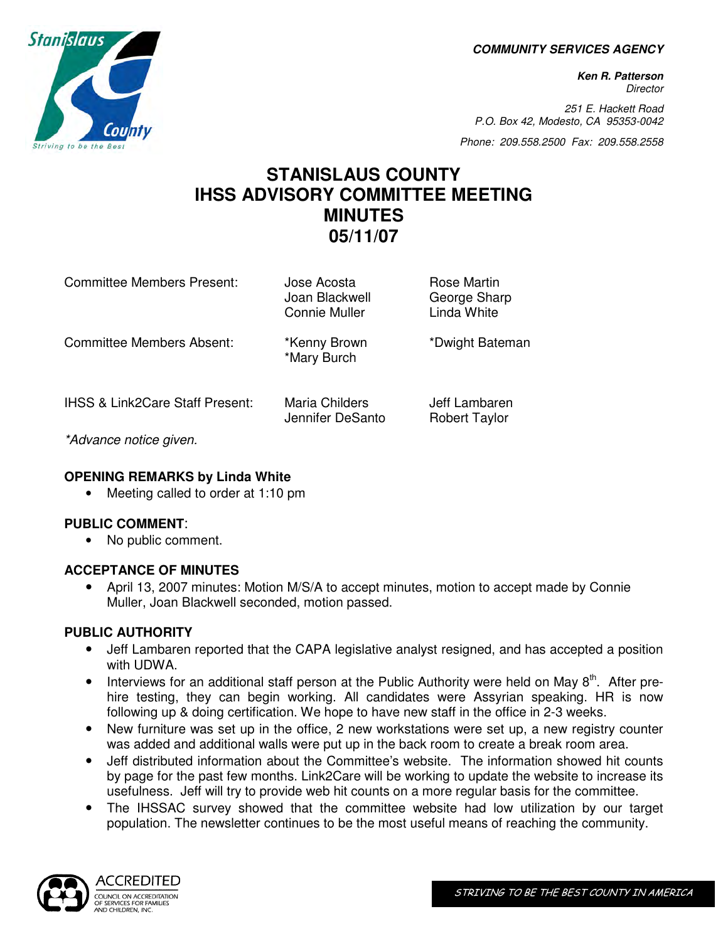**COMMUNITY SERVICES AGENCY** 

**Ken R. Patterson Director** 

251 E. Hackett Road P.O. Box 42, Modesto, CA 95353-0042

Phone: 209.558.2500 Fax: 209.558.2558

# **STANISLAUS COUNTY IHSS ADVISORY COMMITTEE MEETING MINUTES 05/11/07**

| Committee Members Present:                                                                                                                                                                                                                                                         | Jose Acosta<br>Joan Blackwell<br>Connie Muller | Rose Martin<br>George Sharp<br>Linda White |
|------------------------------------------------------------------------------------------------------------------------------------------------------------------------------------------------------------------------------------------------------------------------------------|------------------------------------------------|--------------------------------------------|
| <b>Committee Members Absent:</b>                                                                                                                                                                                                                                                   | *Kenny Brown<br>*Mary Burch                    | *Dwight Bateman                            |
| <b>IHSS &amp; Link2Care Staff Present:</b><br>$\leftarrow$ and the contract of the contract of the contract of the contract of the contract of the contract of the contract of the contract of the contract of the contract of the contract of the contract of the contract of the | Maria Childers<br>Jennifer DeSanto             | Jeff Lambaren<br><b>Robert Taylor</b>      |

\*Advance notice given.

### **OPENING REMARKS by Linda White**

• Meeting called to order at 1:10 pm

### **PUBLIC COMMENT**:

• No public comment.

### **ACCEPTANCE OF MINUTES**

• April 13, 2007 minutes: Motion M/S/A to accept minutes, motion to accept made by Connie Muller, Joan Blackwell seconded, motion passed.

### **PUBLIC AUTHORITY**

- Jeff Lambaren reported that the CAPA legislative analyst resigned, and has accepted a position with UDWA.
- Interviews for an additional staff person at the Public Authority were held on May  $8<sup>th</sup>$ . After prehire testing, they can begin working. All candidates were Assyrian speaking. HR is now following up & doing certification. We hope to have new staff in the office in 2-3 weeks.
- New furniture was set up in the office, 2 new workstations were set up, a new registry counter was added and additional walls were put up in the back room to create a break room area.
- Jeff distributed information about the Committee's website. The information showed hit counts by page for the past few months. Link2Care will be working to update the website to increase its usefulness. Jeff will try to provide web hit counts on a more regular basis for the committee.
- The IHSSAC survey showed that the committee website had low utilization by our target population. The newsletter continues to be the most useful means of reaching the community.



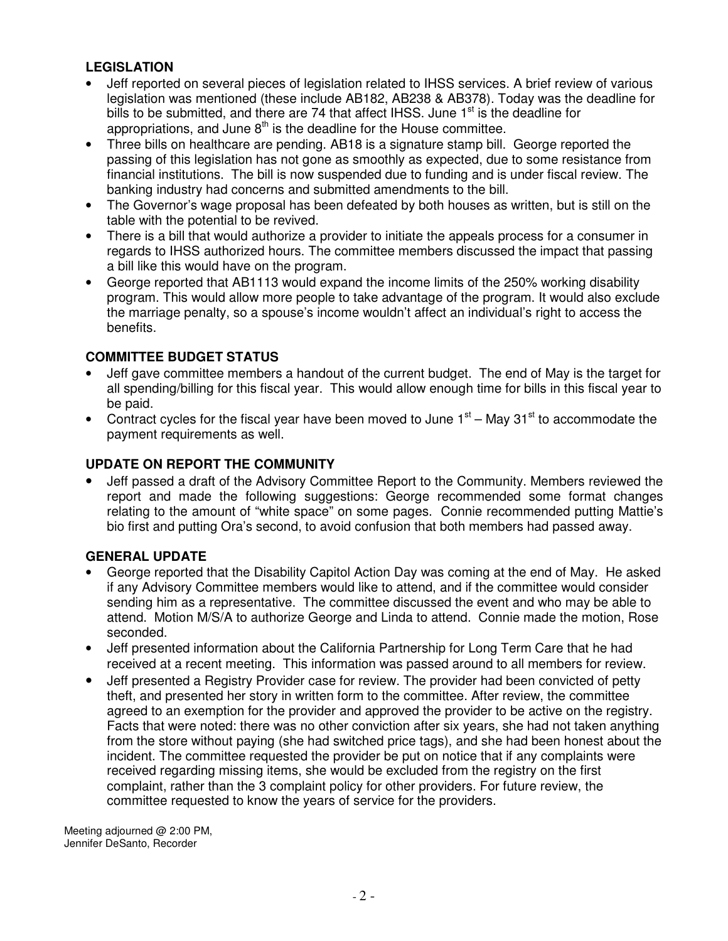### **LEGISLATION**

- Jeff reported on several pieces of legislation related to IHSS services. A brief review of various legislation was mentioned (these include AB182, AB238 & AB378). Today was the deadline for bills to be submitted, and there are 74 that affect IHSS. June  $1<sup>st</sup>$  is the deadline for appropriations, and June  $8<sup>th</sup>$  is the deadline for the House committee.
- Three bills on healthcare are pending. AB18 is a signature stamp bill. George reported the passing of this legislation has not gone as smoothly as expected, due to some resistance from financial institutions. The bill is now suspended due to funding and is under fiscal review. The banking industry had concerns and submitted amendments to the bill.
- The Governor's wage proposal has been defeated by both houses as written, but is still on the table with the potential to be revived.
- There is a bill that would authorize a provider to initiate the appeals process for a consumer in regards to IHSS authorized hours. The committee members discussed the impact that passing a bill like this would have on the program.
- George reported that AB1113 would expand the income limits of the 250% working disability program. This would allow more people to take advantage of the program. It would also exclude the marriage penalty, so a spouse's income wouldn't affect an individual's right to access the benefits.

### **COMMITTEE BUDGET STATUS**

- Jeff gave committee members a handout of the current budget. The end of May is the target for all spending/billing for this fiscal year. This would allow enough time for bills in this fiscal year to be paid.
- Contract cycles for the fiscal year have been moved to June  $1<sup>st</sup>$  May 31 $<sup>st</sup>$  to accommodate the</sup> payment requirements as well.

# **UPDATE ON REPORT THE COMMUNITY**

• Jeff passed a draft of the Advisory Committee Report to the Community. Members reviewed the report and made the following suggestions: George recommended some format changes relating to the amount of "white space" on some pages. Connie recommended putting Mattie's bio first and putting Ora's second, to avoid confusion that both members had passed away.

### **GENERAL UPDATE**

- George reported that the Disability Capitol Action Day was coming at the end of May. He asked if any Advisory Committee members would like to attend, and if the committee would consider sending him as a representative. The committee discussed the event and who may be able to attend. Motion M/S/A to authorize George and Linda to attend. Connie made the motion, Rose seconded.
- Jeff presented information about the California Partnership for Long Term Care that he had received at a recent meeting. This information was passed around to all members for review.
- Jeff presented a Registry Provider case for review. The provider had been convicted of petty theft, and presented her story in written form to the committee. After review, the committee agreed to an exemption for the provider and approved the provider to be active on the registry. Facts that were noted: there was no other conviction after six years, she had not taken anything from the store without paying (she had switched price tags), and she had been honest about the incident. The committee requested the provider be put on notice that if any complaints were received regarding missing items, she would be excluded from the registry on the first complaint, rather than the 3 complaint policy for other providers. For future review, the committee requested to know the years of service for the providers.

Meeting adjourned @ 2:00 PM, Jennifer DeSanto, Recorder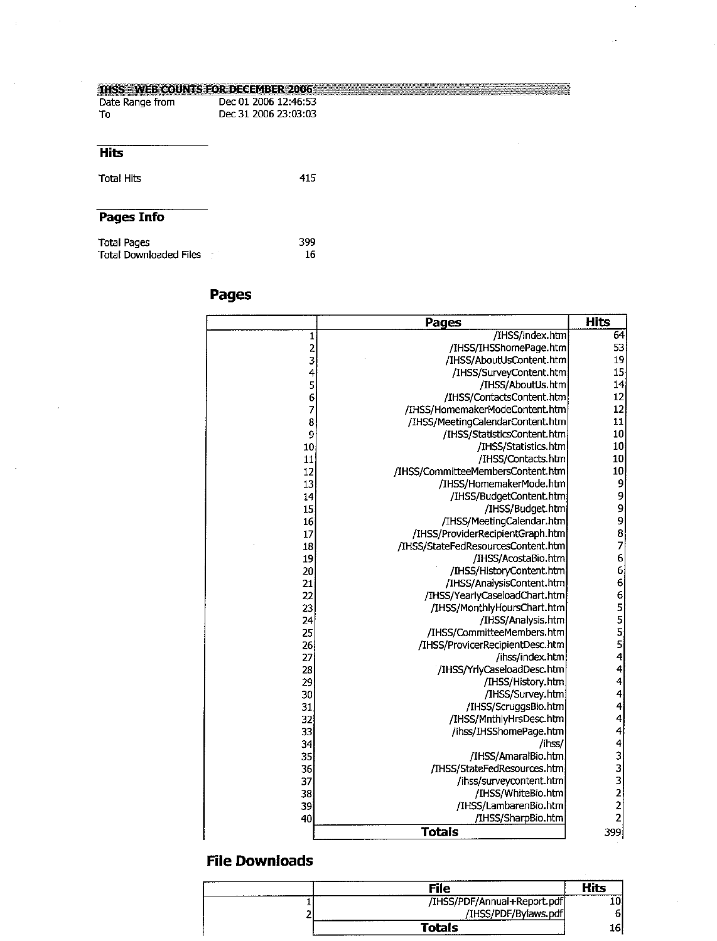#### **THSS - WEB COUNTS FOR DECEMBER 2006**

| Date Range from | Dec 01 2006 12:46:53 |
|-----------------|----------------------|
| -To             | Dec 31 2006 23:03:03 |

#### **Hits**

**Total Hits** 

# Pages Info

| <b>Total Pages</b>            | 399 |
|-------------------------------|-----|
| <b>Total Downloaded Files</b> | 16. |

# Pages

415

|                | <b>Pages</b>                       | <b>Hits</b> |
|----------------|------------------------------------|-------------|
| 1              | /IHSS/index.htm                    | 64          |
| $\overline{c}$ | /IHSS/IHSShomePage.htm             | 53          |
| 3              | /IHSS/AboutUsContent.htm           | 19          |
| 4              | /IHSS/SurveyContent.htm            | 15          |
| 5              | /IHSS/AboutUs.htm                  | 14          |
| 6              | /IHSS/ContactsContent.htm          | 12          |
| $\overline{7}$ | /IHSS/HomemakerModeContent.htm     | 12          |
| 8              | /IHSS/MeetingCalendarContent.htm   | 11          |
| 9              | /IHSS/StatisticsContent.htm        | 10          |
| 10             | /IHSS/Statistics.htm               | 10          |
| 11             | /IHSS/Contacts.htm                 | 10          |
| 12             | /IHSS/CommitteeMembersContent.htm  | 10          |
| 13             | /IHSS/HomemakerMode.htm            | 9           |
| 14             | /IHSS/BudgetContent.htm            |             |
| 15             | /IHSS/Budget.htm                   |             |
| 16             | /IHSS/MeetingCalendar.htm          |             |
| 17             | /IHSS/ProviderRecipientGraph.htm   | 9987        |
| 18             | /IHSS/StateFedResourcesContent.htm |             |
| 19             | /IHSS/AcostaBio.htm                | 666655555   |
| 20             | /IHSS/HistoryContent.htm           |             |
| 21             | /IHSS/AnalysisContent.htm          |             |
| 22             | /IHSS/YearlyCaseloadChart.htm      |             |
| 23             | /IHSS/MonthlyHoursChart.htm        |             |
| 24             | /IHSS/Analysis.htm                 |             |
| 25             | /IHSS/CommitteeMembers.htm         |             |
| 26             | /IHSS/ProvicerRecipientDesc.htm    |             |
| 27             | /ihss/index.htm                    | 4           |
| 28             | /IHSS/YrlyCaseloadDesc.htm         | 4           |
| 29             | /IHSS/History.htm                  | 4           |
| 30             | /IHSS/Survey.htm                   | 4           |
| 31             | /IHSS/ScruggsBio.htm               | 4           |
| 32             | /IHSS/MnthlyHrsDesc.htm            | 4           |
| 33             | /ihss/IHSShomePage.htm             | $\ddot{4}$  |
| 34             | /ihss/                             |             |
| 35             | /IHSS/AmaralBio.htm                | 43322       |
| 36             | /IHSS/StateFedResources.htm        |             |
| 37             | /ihss/surveycontent.htm            |             |
| 38             | /IHSS/WhiteBio.htm                 |             |
| 39             | /IHSS/LambarenBio.htm              |             |
| 40             | /IHSS/SharpBio.htm                 |             |
|                | <b>Totals</b>                      | 399         |

| File                        | Hits |
|-----------------------------|------|
| /IHSS/PDF/Annual+Report.pdf |      |
| /IHSS/PDF/Bylaws.pdf        |      |
| Totals<br>------------      | 161  |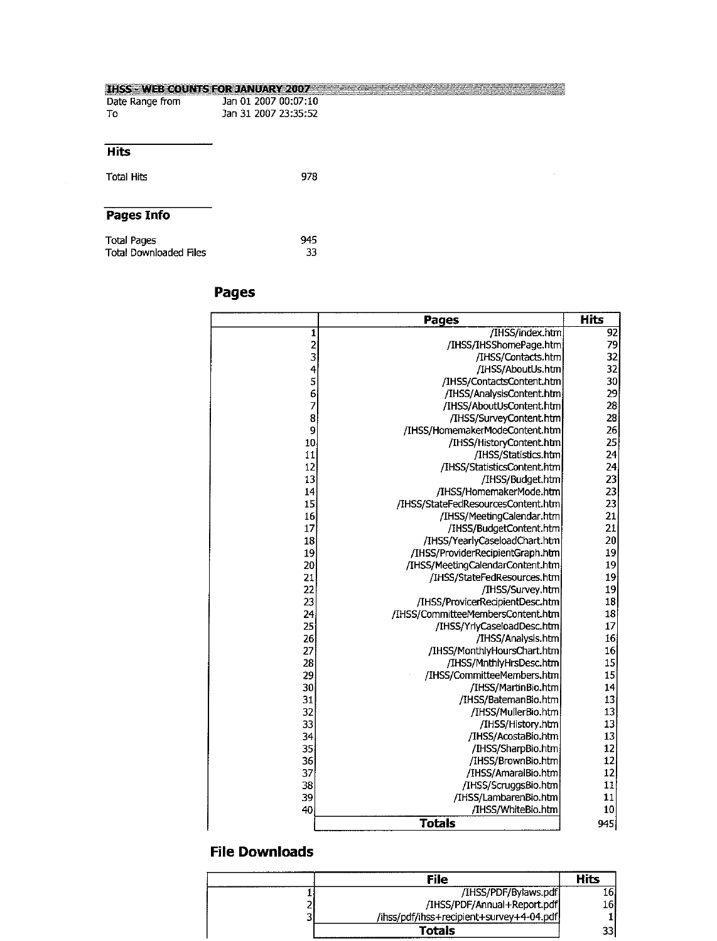#### **IHSS - WEB COUNTS FOR JANUARY 2007 Experimental contract of the contract of the contract of the contract of the contract of the contract of the contract of the contract of the contract of the contract of the contract of**

| Date Range from | Jan 01 2007 00:07:10 |
|-----------------|----------------------|
| Τо              | Jan 31 2007 23:35:52 |

#### **Hits**

978 **Total Hits** 

# Pages Info

| Total Pages            | 945 |
|------------------------|-----|
| Total Downloaded Files | 33  |

# Pages

|                         | <b>Pages</b>                       | <b>Hits</b>     |
|-------------------------|------------------------------------|-----------------|
| 1                       | /IHSS/index.htm                    | 92              |
|                         | /IHSS/IHSShomePage.htm             | 79              |
| 23456                   | /IHSS/Contacts.htm                 | 32              |
|                         | /IHSS/AboutUs.htm                  | 32              |
|                         | /IHSS/ContactsContent.htm          | 30              |
|                         | /IHSS/AnalysisContent.htm          | 29              |
| $\overline{\mathbf{z}}$ | /IHSS/AboutUsContent.htm           | 28              |
| 8                       | /IHSS/SurveyContent.htm            | 28              |
| 9                       | /IHSS/HomemakerModeContent.htm     | 26              |
| 10                      | /IHSS/HistoryContent.htm           | 25              |
| 11                      | /IHSS/Statistics.htm               | 24              |
| 12                      | /IHSS/StatisticsContent.htm        | 24              |
| 13                      | /IHSS/Budget.htm                   | 23              |
| 14                      | /IHSS/HomemakerMode.htm            | $\overline{23}$ |
| 15                      | /IHSS/StateFedResourcesContent.htm | 23              |
| 16                      | /IHSS/MeetingCalendar.htm          | 21              |
| 17                      | /IHSS/BudgetContent.htm            | 21              |
| 18                      | /IHSS/YearlyCaseloadChart.htm      | 20              |
| 19                      | /IHSS/ProviderRecipientGraph.htm   | 19              |
| 20                      | /IHSS/MeetingCalendarContent.htm   | 19              |
| 21                      | /IHSS/StateFedResources.htm        | 19              |
| 22                      | /IHSS/Survey.htm                   | 19              |
| 23                      | /IHSS/ProvicerRecipientDesc.htm    | 18              |
| 24                      | /IHSS/CommitteeMembersContent.htm  | 18              |
| 25                      | /IHSS/YrlyCaseloadDesc.htm         | 17              |
| 26                      | /IHSS/Analysis.htm                 | 16              |
| 27                      | /IHSS/MonthlyHoursChart.htm        | 16              |
| 28                      | /IHSS/MnthlyHrsDesc.htm            | 15              |
| 29                      | /IHSS/CommitteeMembers.htm         | 15              |
| 30                      | /IHSS/MartinBio.htm                | 14              |
| 31                      | /IHSS/BatemanBio.htm               | 13              |
| 32                      | /IHSS/MullerBio.htm                | 13              |
| 33                      | /IHSS/History.htm                  | 13              |
| 34                      | /IHSS/AcostaBio.htm                | 13              |
| 35 <sub>l</sub>         | /IHSS/SharpBio.htm                 | 12              |
| 36                      | /IHSS/BrownBio.htm                 | 12              |
| 37                      | /IHSS/AmaralBio.htm                | 12              |
| 38                      | /IHSS/ScruggsBio.htm               | 11              |
| 39                      | /IHSS/LambarenBio.htm              | 11              |
| 40                      | /IHSS/WhiteBio.htm                 | 10              |
|                         | <b>Totals</b>                      | 945             |

|        | File                                     | Hits   |
|--------|------------------------------------------|--------|
|        | /IHSS/PDF/Bylaws.pdf                     |        |
| -      | /IHSS/PDF/Annual+Report.pdf              | 16     |
| -<br>پ | /ihss/pdf/ihss+recipient+survey+4-04.pdf |        |
|        | Totals                                   | $\sim$ |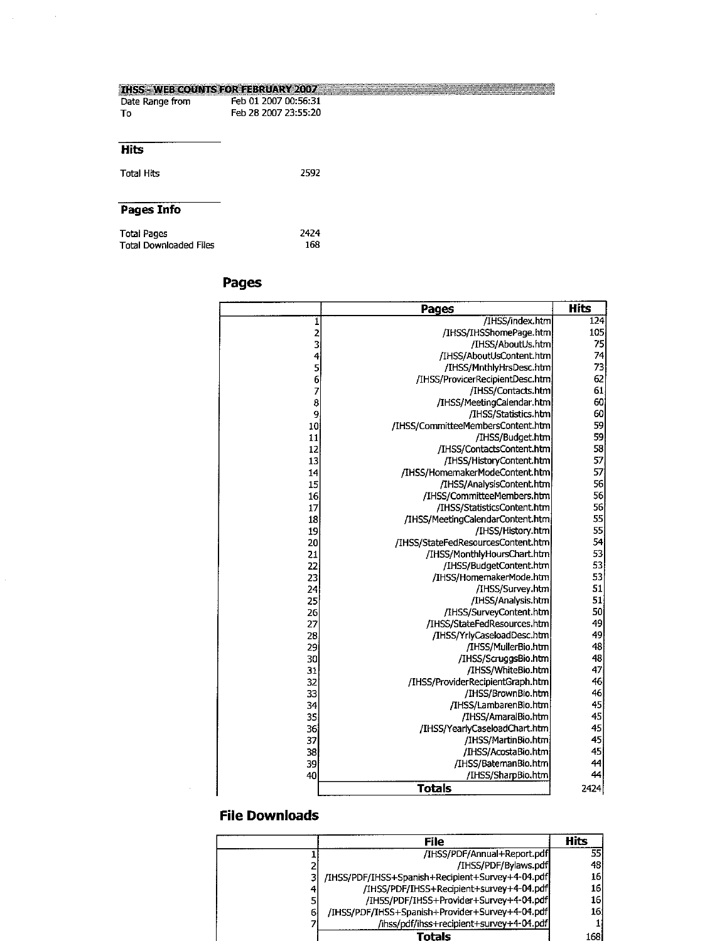| <b>THSS - WEB COUNTS FOR FEBRUARY 2007</b> |                      |  |
|--------------------------------------------|----------------------|--|
| Date Range from                            | Feb 01 2007 00:56:31 |  |
| Тο                                         | Feb 28 2007 23:55:20 |  |
| <b>Hits</b>                                |                      |  |
|                                            |                      |  |
| <b>Total Hits</b>                          | 2592                 |  |
| Pages Info                                 |                      |  |
|                                            |                      |  |
| Total Pages                                | 2424                 |  |
| <b>Total Downloaded Files</b>              | 168                  |  |

# **Pages**

 $\sim 10$ 

|            | Pages                              | <b>Hits</b> |
|------------|------------------------------------|-------------|
| 1          | /IHSS/index.htm                    | 124         |
| 23456789   | /IHSS/IHSShomePage.htm             | 105         |
|            | /IHSS/AboutUs.htm                  | 75          |
|            | /IHSS/AboutUsContent.htm           | 74          |
|            | /IHSS/MnthlyHrsDesc.htm            | 73          |
|            | /IHSS/ProvicerRecipientDesc.htm    | 62          |
|            | /IHSS/Contacts.htm                 | 61          |
|            | /IHSS/MeetingCalendar.htm          | 60          |
|            | /IHSS/Statistics.htm               | 60          |
| 10         | /IHSS/CommitteeMembersContent.htm  | 59          |
| ${\bf 11}$ | /IHSS/Budget.htm                   | 59          |
| 12         | /IHSS/ContactsContent.htm          | 58          |
| 13         | /IHSS/HistoryContent.htm           | 57          |
| 14         | /IHSS/HomemakerModeContent.htm     | 57          |
| 15         | /IHSS/AnalysisContent.htm          | 56          |
| 16         | /IHSS/CommitteeMembers.htm         | 56          |
| 17         | /IHSS/StatisticsContent.htm        | 56          |
| 18         | /IHSS/MeetingCalendarContent.htm   | 55          |
| 19         | /IHSS/History.htm                  | 55          |
| 20         | /IHSS/StateFedResourcesContent.htm | 54          |
| 21         | /IHSS/MonthlyHoursChart.htm        | 53          |
| 22         | /IHSS/BudgetContent.htm            | 53          |
| 23         | /IHSS/HomemakerMode.htm            | 53          |
| 24         | /IHSS/Survey.htm                   | 51          |
| 25         | /IHSS/Analysis.htm                 | 51          |
| 26         | /IHSS/SurveyContent.htm            | 50          |
| 27         | /IHSS/StateFedResources.htm        | 49          |
| 28         | /IHSS/YrlyCaseloadDesc.htm         | 49          |
| 29         | /IHSS/MullerBio.htm                | 48          |
| 30         | /IHSS/ScruggsBio.htm               | 48          |
| 31         | /IHSS/WhiteBio.htm                 | 47          |
| 32         | /IHSS/ProviderRecipientGraph.htm   | 46          |
| 33         | /IHSS/BrownBio.htm                 | 46          |
| 34         | /IHSS/LambarenBio.htm              | 45          |
| 35         | /IHSS/AmaralBio.htm                | 45          |
| 36         | /IHSS/YearlyCaseloadChart.htm      | 45          |
| 37         | /IHSS/MartinBio.htm                | 45          |
| 38         | /IHSS/AcostaBio.htm                | 45          |
| 39         | /IHSS/BatemanBio.htm               | 44          |
| 40         | /IHSS/SharpBio.htm                 | 44          |
|            | <b>Totals</b>                      | 2424        |

| <b>File</b>                                      | Hits |
|--------------------------------------------------|------|
| /IHSS/PDF/Annual+Report.pdf                      | 55   |
| /IHSS/PDF/Bylaws.pdf                             | 48   |
| /IHSS/PDF/IHSS+Spanish+Recipient+Survey+4-04.pdf | 16   |
| /IHSS/PDF/IHSS+Recipient+survey+4-04.pdf         | 16   |
| /IH5S/PDF/IHSS+Provider+Survey+4-04.pdf          | 16'  |
| /IHSS/PDF/IHSS+Spanish+Provider+Survey+4-04.pdf  | 16   |
| /ihss/pdf/ihss+recipient+survey+4-04.pdf         |      |
| Totals                                           | 168  |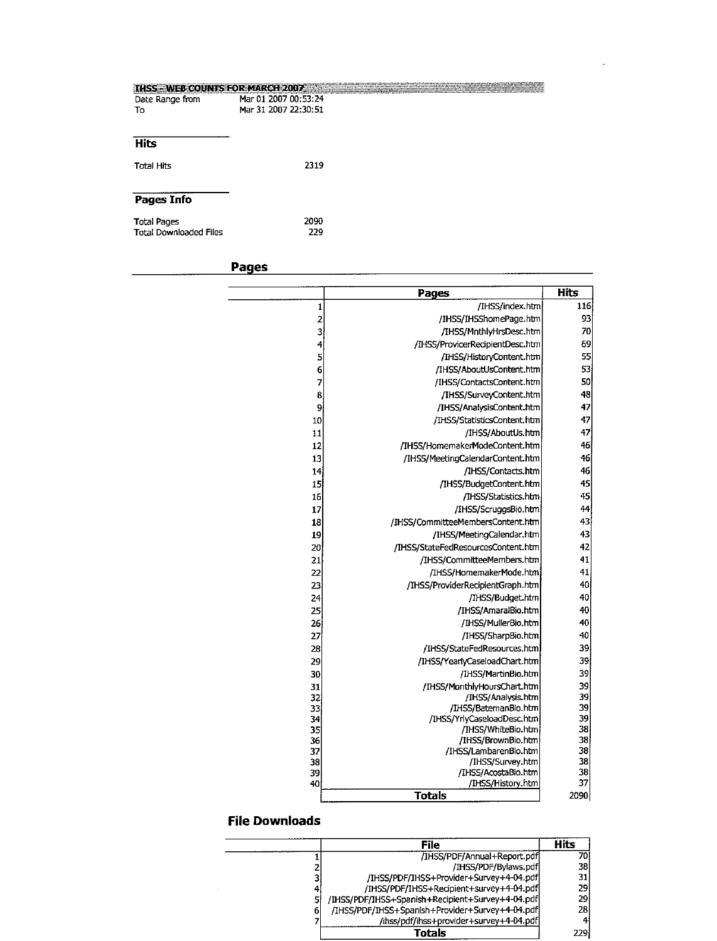| <b>IHSS - WEB COUNTS FOR MARCH 2007 :::</b> |                      | <u> 1968 - John Barn Barn, amerikan ba</u> |
|---------------------------------------------|----------------------|--------------------------------------------|
| Date Range from                             | Mar 01 2007 00:53:24 |                                            |
| To                                          | Mar 31 2007 22:30:51 |                                            |
|                                             |                      |                                            |
|                                             |                      |                                            |
| <b>Hits</b>                                 |                      |                                            |
| Total Hits                                  | 2319                 |                                            |
|                                             |                      |                                            |
|                                             |                      |                                            |
| Pages Info                                  |                      |                                            |
| <b>Total Pages</b>                          | 2090                 |                                            |
| <b>Total Downloaded Files</b>               | 229                  |                                            |
|                                             |                      |                                            |

**Pages** 

 $\overline{\phantom{a}}$ 

|          | Pages                                       | <b>Hits</b> |
|----------|---------------------------------------------|-------------|
| 1        | /IHSS/index.htm                             | 116         |
| 2        | /IHSS/IHSShomePage.htm                      | 93          |
| 3        | /IHSS/MnthlyHrsDesc.htm                     | 70          |
| 4        | /IHSS/ProvicerRecipientDesc.htm             | 69          |
| 5        | /IHSS/HistoryContent.htm                    | 55          |
| 6        | /IHSS/AboutUsContent.htm                    | 53          |
| 7        | /IHSS/ContactsContent.htm                   | 50          |
| 8        | /IHSS/SurveyContent.htm                     | 48          |
| 9        | /IHSS/AnalysisContent.htm                   | 47          |
| 10       | /IHSS/StatisticsContent.htm                 | 47          |
| 11       | /IHSS/AboutUs.htm                           | 47          |
| 12       | /IHSS/HomemakerModeContent.htm              | 46          |
| 13       | /IHSS/MeetingCalendarContent.htm            | 46          |
| 14       | /IHSS/Contacts.htm                          | 46          |
| 15       | /IHSS/BudgetContent.htm                     | 45          |
| 16       | /IHSS/Statistics.htm                        | 45          |
| 17       | /IHSS/ScruggsBio.htm                        | 44          |
| 18       | /IHSS/CommitteeMembersContent.htm           | 43          |
| 19       | /IHSS/MeetingCalendar.htm                   | 43          |
| 20       | /IHSS/StateFedResourcesContent.htm          | 42          |
| 21       | /IHSS/CommitteeMembers.htm                  | 41          |
| 22       | /IHSS/HomemakerMode.htm                     | 41          |
| 23       | /IHSS/ProviderRecipientGraph.htm            | 40          |
| 24       | /IHSS/Budget.htm                            | 40          |
| 25       | /IHSS/AmaralBio.htm                         | 40          |
| 26       | /IHSS/MullerBio.htm                         | 40          |
| 27       | /IHSS/SharpBio.htm                          | 40          |
| 28       | /IHSS/StateFedResources.htm                 | 39          |
| 29       | /IHSS/YearlyCaseloadChart.htm               | 39          |
| 30       | /IHSS/MartinBio.htm                         | 39          |
| 31       | /IHSS/MonthlyHoursChart.htm                 | 39          |
| 32       | /IHSS/Analysis.htm                          | 39          |
| 33       | /IHSS/BatemanBio.htm                        | 39          |
| 34       | /IHSS/YrlyCaseloadDesc.htm                  | 39          |
| 35       | /IHSS/WhiteBio.htm                          | 38          |
| 36<br>37 | /IHSS/BrownBio.htm<br>/IHSS/LambarenBio.htm | 38<br>38    |
| 38       | /IHSS/Survey.htm                            | 38          |
| 39       | /IHSS/AcostaBio.htm                         | 38          |
| 40       | /IHSS/History.htm                           | 37          |
|          | <b>Totals</b>                               | 2090        |

 $\mathcal{A}$ 

|   | File                                             | <b>Hits</b> |
|---|--------------------------------------------------|-------------|
|   | /IHSS/PDF/Annual+Report.pdf                      | 70I         |
|   | /IHSS/PDF/Bylaws.pdf                             | 38          |
|   | /IHSS/PDF/IHSS+Provider+Survey+4-04.pdf          | 31          |
|   | /IHSS/PDF/IHSS+Recipient+survey+4-04.pdf         | 29          |
|   | /IHSS/PDF/IHSS+Spanish+Recipient+Survey+4-04.pdf | 29          |
| 6 | /IHSS/PDF/IHSS+Spanish+Provider+Survey+4-04.pdf  | 28          |
|   | /ihss/pdf/ihss+provider+survey+4-04.pdf          |             |
|   | Totals                                           | 229         |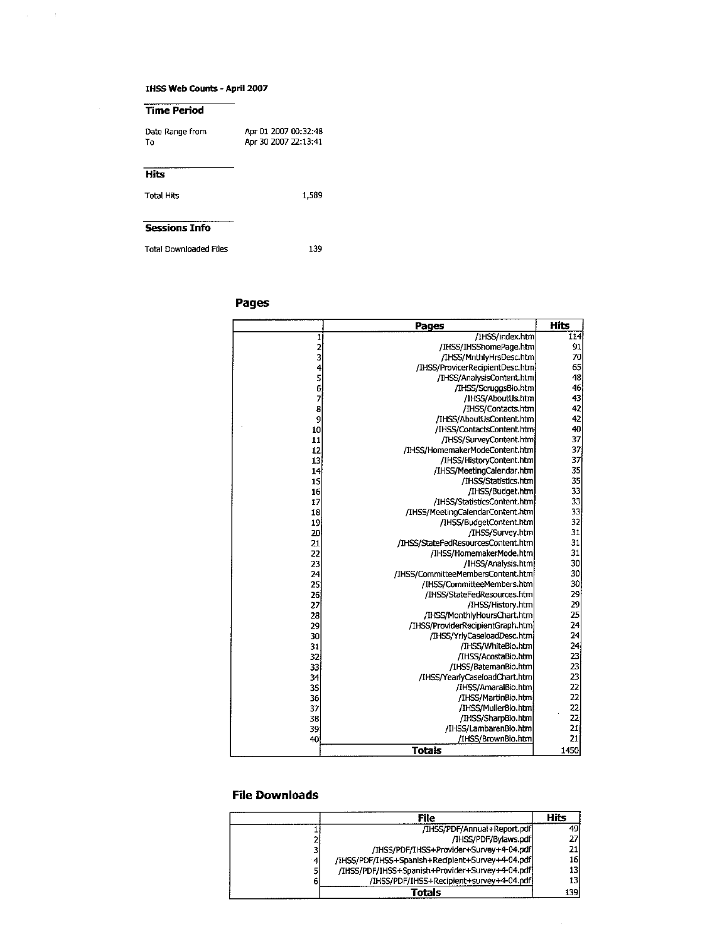#### **IHSS Web Counts - April 2007**

 $\overline{a}$ 

 $\sim 10^{11}$  km  $^{-1}$ 

| Time Period                   |                                              |
|-------------------------------|----------------------------------------------|
| Date Range from<br>Т٥         | Apr 01 2007 00:32:48<br>Apr 30 2007 22:13:41 |
| Hits                          |                                              |
| Total Hits                    | 1.589                                        |
|                               |                                              |
| <b>Sessions Info</b>          |                                              |
| <b>Total Downloaded Files</b> | 139                                          |

 $\overline{\phantom{0}}$ 

Total Downloaded Files

#### Pages

|                                            | Pages                              | <b>Hits</b>     |
|--------------------------------------------|------------------------------------|-----------------|
| 1                                          | /IHSS/index.htm                    | 114             |
|                                            | /IHSS/IHSShomePage.htm             | 91              |
| $\begin{array}{c} 2 \\ 3 \\ 4 \end{array}$ | /IHSS/MnthlvHrsDesc.htm            | 70              |
|                                            | /IHSS/ProvicerRecipientDesc.htm    | 65              |
| 5                                          | /IHSS/AnalysisContent.htm          | 48              |
| $\frac{6}{7}$                              | /IHSS/ScruggsBio.htm               | 46              |
|                                            | /IHSS/AboutUs.htm                  | 43              |
| 8<br>9                                     | /IHSS/Contacts.htm                 | 42              |
|                                            | /IHSS/AboutUsContent.htm           | 42              |
| 10                                         | /IHSS/ContactsContent.htm          | 40              |
| 11                                         | /IHSS/SurveyContent.html           | 37              |
| 12                                         | /IHSS/HomemakerModeContent.htm     | 37              |
| 13                                         | /IHSS/HistoryContent.htm           | 37              |
| 14                                         | /IHSS/MeetingCalendar.htm          | 35              |
| 15                                         | /IHSS/Statistics.htm               | 35              |
| 16                                         | /IHSS/Budget.htm                   | 33              |
| 17                                         | /IHSS/StatisticsContent.htm        | 33              |
| 18                                         | /IHSS/MeetingCalendarContent.htm   | 33              |
| 19                                         | /IHSS/BudgetContent.htm            | 32              |
| 20                                         | /IHSS/Survey.htm                   | 31              |
| 21                                         | /IHSS/StateFedResourcesContent.htm | 31              |
| 22                                         | /IHSS/HomemakerMode.htm            | 31              |
| 23                                         | /IHSS/Analysis.htm                 | 30              |
| 24                                         | /IHSS/CommitteeMembersContent.htm  | 30              |
| 25                                         | /IHSS/CommitteeMembers.htm         | 30              |
| 26                                         | /IHSS/StateFedResources.htm        | 29              |
| 27                                         | /IHSS/History.htm                  | 29              |
| 28                                         | /IHSS/MonthlyHoursChart.htm        | 25              |
| 29                                         | /IHSS/ProviderRecipientGraph.htm   | 24              |
| 30                                         | /IHSS/YrlyCaseloadDesc.htm         | 24              |
| 31                                         | /IHSS/WhiteBio.htm                 | 24              |
| 32                                         | /IHSS/AcostaBio.htm                | 23              |
| 33                                         | /IHSS/BatemanBio.htm               | 23              |
| 34                                         | /IHSS/YearlyCaseloadChart.htm      | 23              |
| 35                                         | /IHSS/AmaralBio.htm                | 22              |
| 36                                         | /IHSS/MartinBio.htm                | 22              |
| 37                                         | /IHSS/MullerBio.htm                | $\overline{22}$ |
| 38                                         | /IHSS/SharpBio.htm                 | 22              |
| 39                                         | /IHSS/LambarenBio.htm              | 21              |
| 40                                         | /IHSS/BrownBio.htm                 | 21              |
|                                            | <b>Totals</b>                      | 1450            |

#### **File Downloads**

|   | File                                             | Hits |
|---|--------------------------------------------------|------|
|   | /IHSS/PDF/Annual+Report.pdf                      | 49   |
|   | /IHSS/PDF/Bylaws.pdf                             | 27   |
| 3 | /IHSS/PDF/IHSS+Provider+Survey+4-04.pdf          | 21 I |
| 4 | /IHSS/PDF/IHSS+Spanish+Recipient+Survey+4-04.pdf | 16   |
|   | /IHSS/PDF/IHSS+Spanish+Provider+Survey+4-04.pdf  | 13   |
| 6 | /IHSS/PDF/IHSS+Recipient+survey+4-04.pdf         | 13   |
|   | Totals                                           | 139  |

 $\hat{\mathcal{A}}$